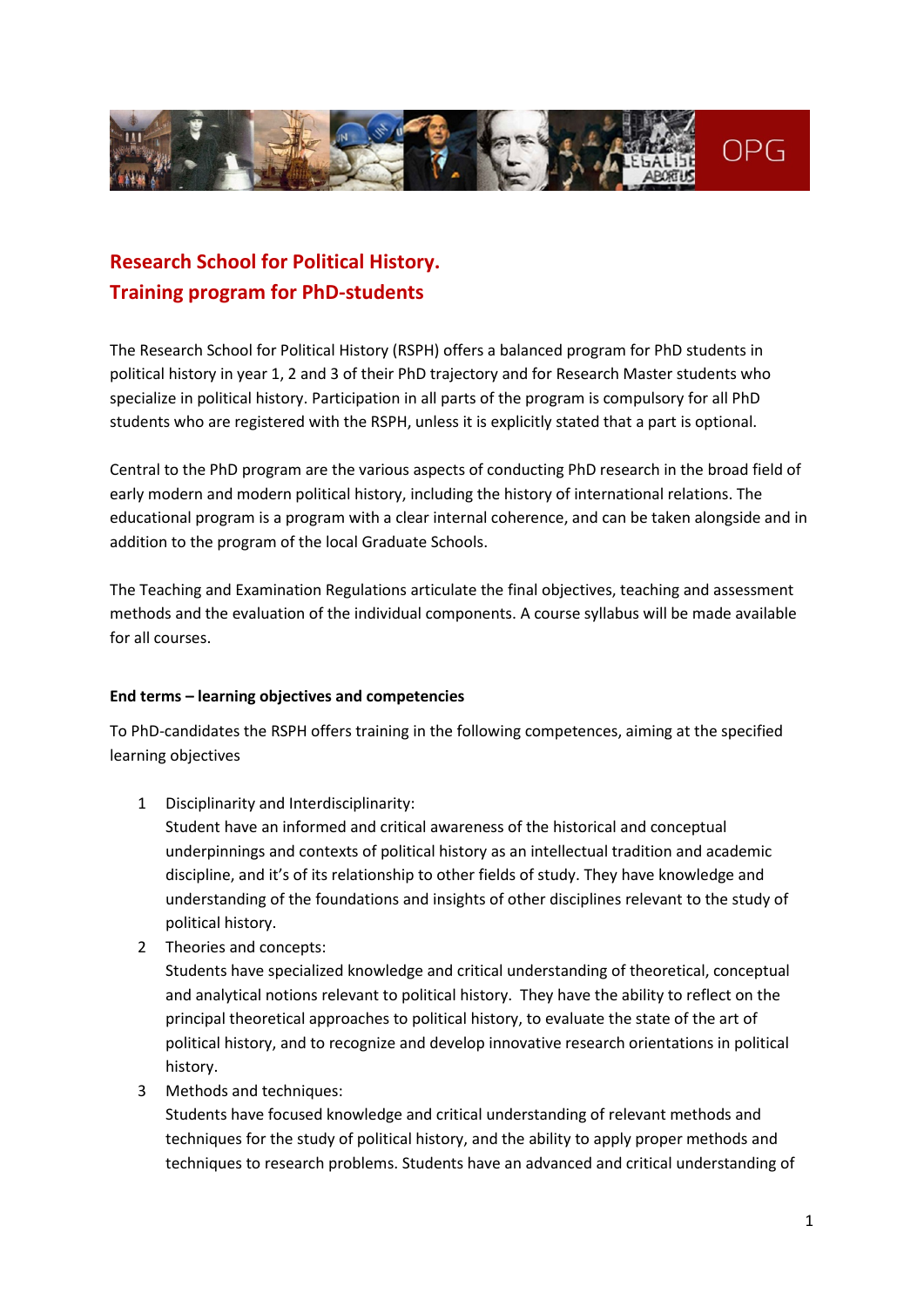

# **Research School for Political History. Training program for PhD-students**

The Research School for Political History (RSPH) offers a balanced program for PhD students in political history in year 1, 2 and 3 of their PhD trajectory and for Research Master students who specialize in political history. Participation in all parts of the program is compulsory for all PhD students who are registered with the RSPH, unless it is explicitly stated that a part is optional.

Central to the PhD program are the various aspects of conducting PhD research in the broad field of early modern and modern political history, including the history of international relations. The educational program is a program with a clear internal coherence, and can be taken alongside and in addition to the program of the local Graduate Schools.

The Teaching and Examination Regulations articulate the final objectives, teaching and assessment methods and the evaluation of the individual components. A course syllabus will be made available for all courses.

## **End terms – learning objectives and competencies**

To PhD-candidates the RSPH offers training in the following competences, aiming at the specified learning objectives

1 Disciplinarity and Interdisciplinarity:

Student have an informed and critical awareness of the historical and conceptual underpinnings and contexts of political history as an intellectual tradition and academic discipline, and it's of its relationship to other fields of study. They have knowledge and understanding of the foundations and insights of other disciplines relevant to the study of political history.

2 Theories and concepts:

Students have specialized knowledge and critical understanding of theoretical, conceptual and analytical notions relevant to political history. They have the ability to reflect on the principal theoretical approaches to political history, to evaluate the state of the art of political history, and to recognize and develop innovative research orientations in political history.

3 Methods and techniques:

Students have focused knowledge and critical understanding of relevant methods and techniques for the study of political history, and the ability to apply proper methods and techniques to research problems. Students have an advanced and critical understanding of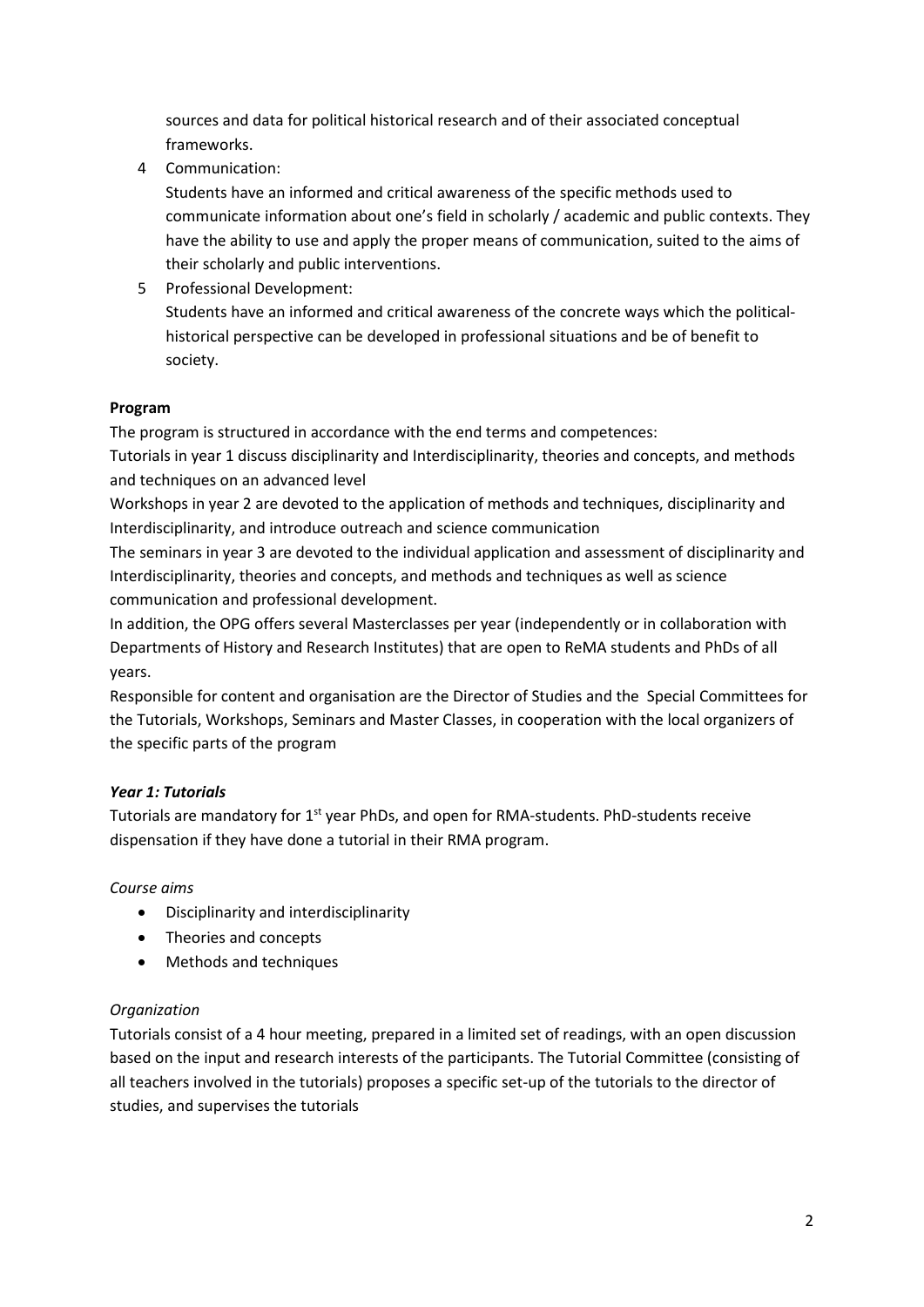sources and data for political historical research and of their associated conceptual frameworks.

4 Communication:

Students have an informed and critical awareness of the specific methods used to communicate information about one's field in scholarly / academic and public contexts. They have the ability to use and apply the proper means of communication, suited to the aims of their scholarly and public interventions.

5 Professional Development: Students have an informed and critical awareness of the concrete ways which the politicalhistorical perspective can be developed in professional situations and be of benefit to society.

## **Program**

The program is structured in accordance with the end terms and competences:

Tutorials in year 1 discuss disciplinarity and Interdisciplinarity, theories and concepts, and methods and techniques on an advanced level

Workshops in year 2 are devoted to the application of methods and techniques, disciplinarity and Interdisciplinarity, and introduce outreach and science communication

The seminars in year 3 are devoted to the individual application and assessment of disciplinarity and Interdisciplinarity, theories and concepts, and methods and techniques as well as science communication and professional development.

In addition, the OPG offers several Masterclasses per year (independently or in collaboration with Departments of History and Research Institutes) that are open to ReMA students and PhDs of all years.

Responsible for content and organisation are the Director of Studies and the Special Committees for the Tutorials, Workshops, Seminars and Master Classes, in cooperation with the local organizers of the specific parts of the program

## *Year 1: Tutorials*

Tutorials are mandatory for 1<sup>st</sup> year PhDs, and open for RMA-students. PhD-students receive dispensation if they have done a tutorial in their RMA program.

## *Course aims*

- Disciplinarity and interdisciplinarity
- Theories and concepts
- Methods and techniques

## *Organization*

Tutorials consist of a 4 hour meeting, prepared in a limited set of readings, with an open discussion based on the input and research interests of the participants. The Tutorial Committee (consisting of all teachers involved in the tutorials) proposes a specific set-up of the tutorials to the director of studies, and supervises the tutorials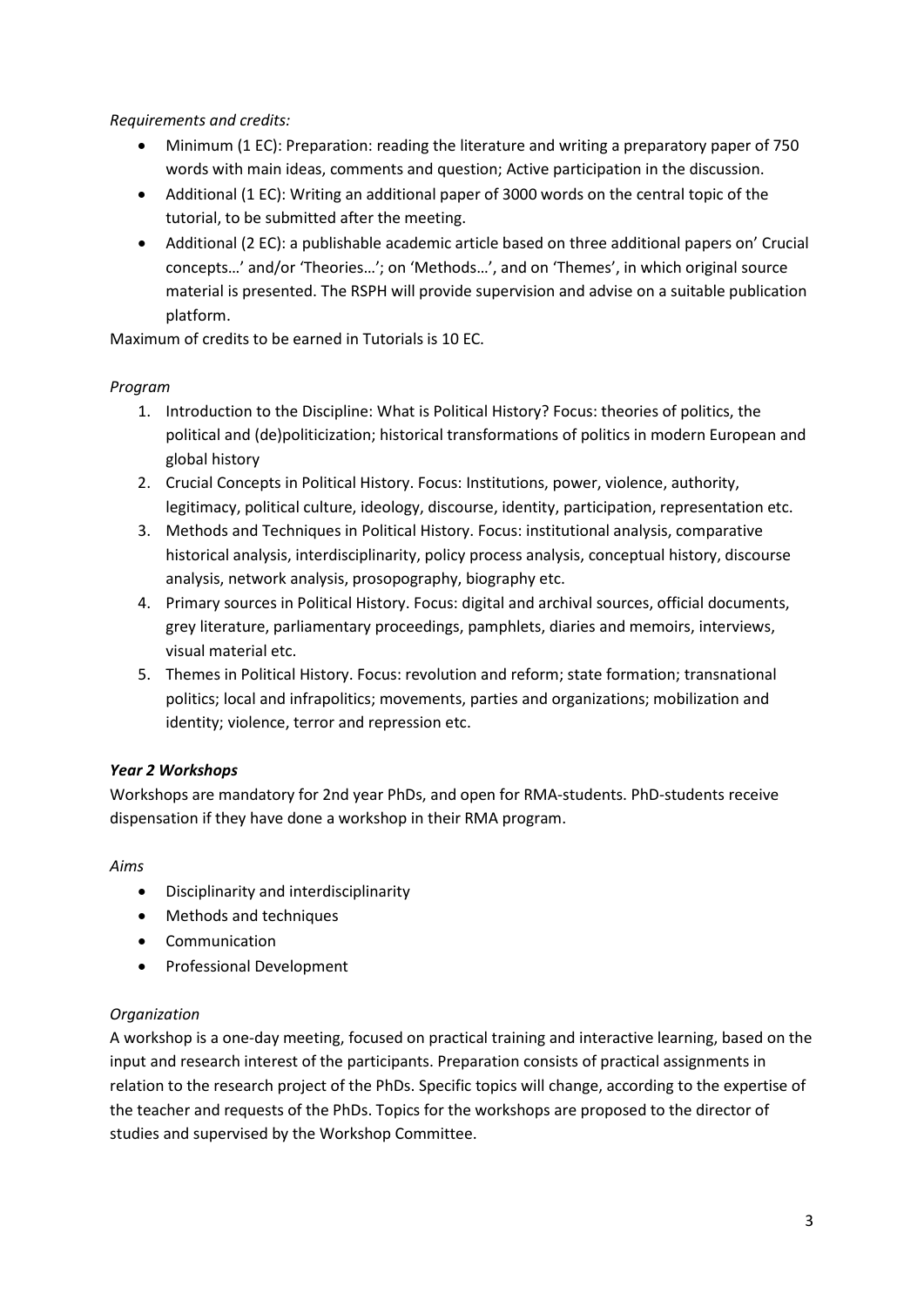*Requirements and credits:*

- Minimum (1 EC): Preparation: reading the literature and writing a preparatory paper of 750 words with main ideas, comments and question; Active participation in the discussion.
- Additional (1 EC): Writing an additional paper of 3000 words on the central topic of the tutorial, to be submitted after the meeting.
- Additional (2 EC): a publishable academic article based on three additional papers on' Crucial concepts…' and/or 'Theories…'; on 'Methods…', and on 'Themes', in which original source material is presented. The RSPH will provide supervision and advise on a suitable publication platform.

Maximum of credits to be earned in Tutorials is 10 EC.

# *Program*

- 1. Introduction to the Discipline: What is Political History? Focus: theories of politics, the political and (de)politicization; historical transformations of politics in modern European and global history
- 2. Crucial Concepts in Political History. Focus: Institutions, power, violence, authority, legitimacy, political culture, ideology, discourse, identity, participation, representation etc.
- 3. Methods and Techniques in Political History. Focus: institutional analysis, comparative historical analysis, interdisciplinarity, policy process analysis, conceptual history, discourse analysis, network analysis, prosopography, biography etc.
- 4. Primary sources in Political History. Focus: digital and archival sources, official documents, grey literature, parliamentary proceedings, pamphlets, diaries and memoirs, interviews, visual material etc.
- 5. Themes in Political History. Focus: revolution and reform; state formation; transnational politics; local and infrapolitics; movements, parties and organizations; mobilization and identity; violence, terror and repression etc.

# *Year 2 Workshops*

Workshops are mandatory for 2nd year PhDs, and open for RMA-students. PhD-students receive dispensation if they have done a workshop in their RMA program.

*Aims*

- Disciplinarity and interdisciplinarity
- Methods and techniques
- Communication
- Professional Development

# *Organization*

A workshop is a one-day meeting, focused on practical training and interactive learning, based on the input and research interest of the participants. Preparation consists of practical assignments in relation to the research project of the PhDs. Specific topics will change, according to the expertise of the teacher and requests of the PhDs. Topics for the workshops are proposed to the director of studies and supervised by the Workshop Committee.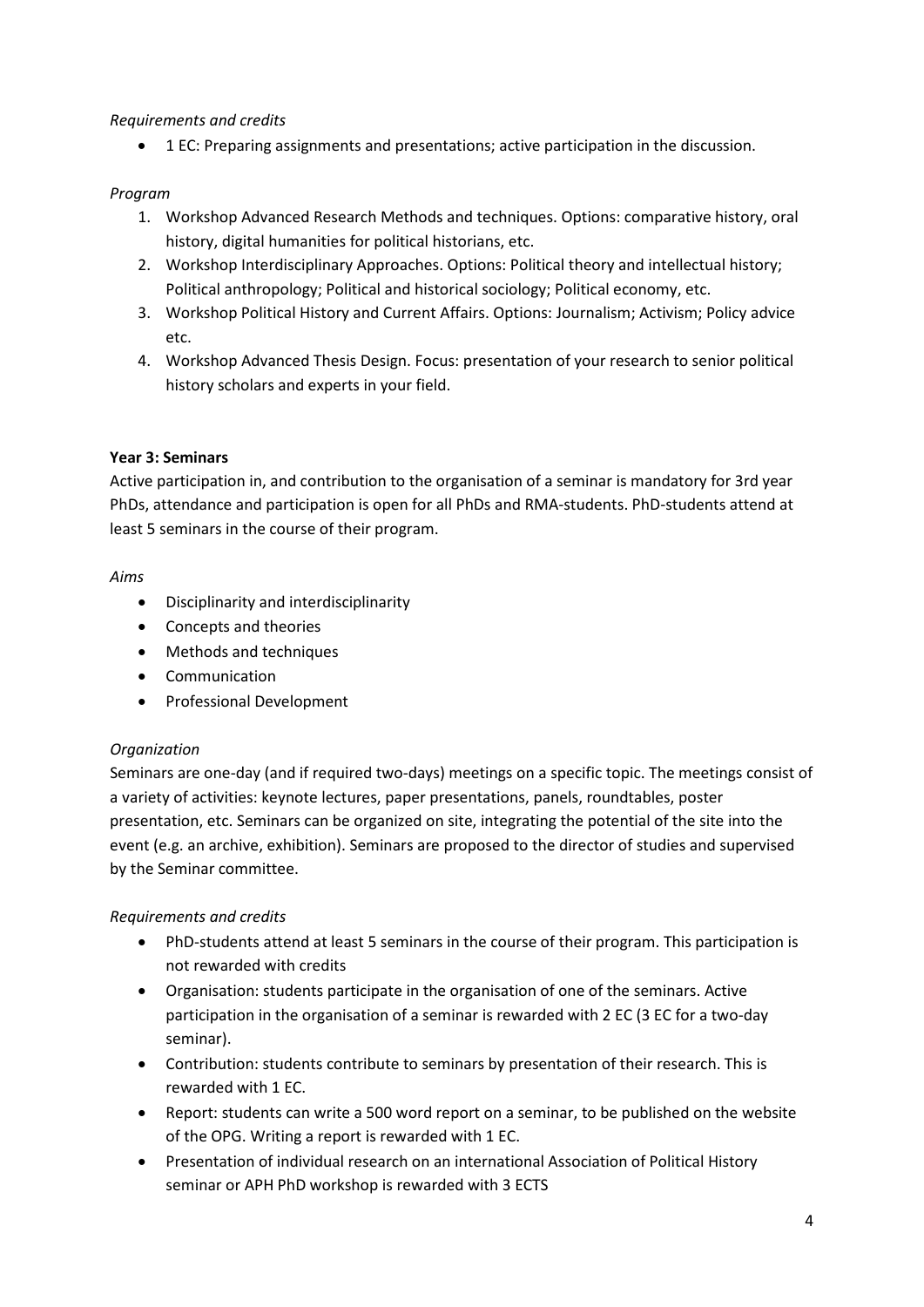#### *Requirements and credits*

• 1 EC: Preparing assignments and presentations; active participation in the discussion.

#### *Program*

- 1. Workshop Advanced Research Methods and techniques. Options: comparative history, oral history, digital humanities for political historians, etc.
- 2. Workshop Interdisciplinary Approaches. Options: Political theory and intellectual history; Political anthropology; Political and historical sociology; Political economy, etc.
- 3. Workshop Political History and Current Affairs. Options: Journalism; Activism; Policy advice etc.
- 4. Workshop Advanced Thesis Design. Focus: presentation of your research to senior political history scholars and experts in your field.

#### **Year 3: Seminars**

Active participation in, and contribution to the organisation of a seminar is mandatory for 3rd year PhDs, attendance and participation is open for all PhDs and RMA-students. PhD-students attend at least 5 seminars in the course of their program.

#### *Aims*

- Disciplinarity and interdisciplinarity
- Concepts and theories
- Methods and techniques
- Communication
- Professional Development

## *Organization*

Seminars are one-day (and if required two-days) meetings on a specific topic. The meetings consist of a variety of activities: keynote lectures, paper presentations, panels, roundtables, poster presentation, etc. Seminars can be organized on site, integrating the potential of the site into the event (e.g. an archive, exhibition). Seminars are proposed to the director of studies and supervised by the Seminar committee.

## *Requirements and credits*

- PhD-students attend at least 5 seminars in the course of their program. This participation is not rewarded with credits
- Organisation: students participate in the organisation of one of the seminars. Active participation in the organisation of a seminar is rewarded with 2 EC (3 EC for a two-day seminar).
- Contribution: students contribute to seminars by presentation of their research. This is rewarded with 1 EC.
- Report: students can write a 500 word report on a seminar, to be published on the website of the OPG. Writing a report is rewarded with 1 EC.
- Presentation of individual research on an international Association of Political History seminar or APH PhD workshop is rewarded with 3 ECTS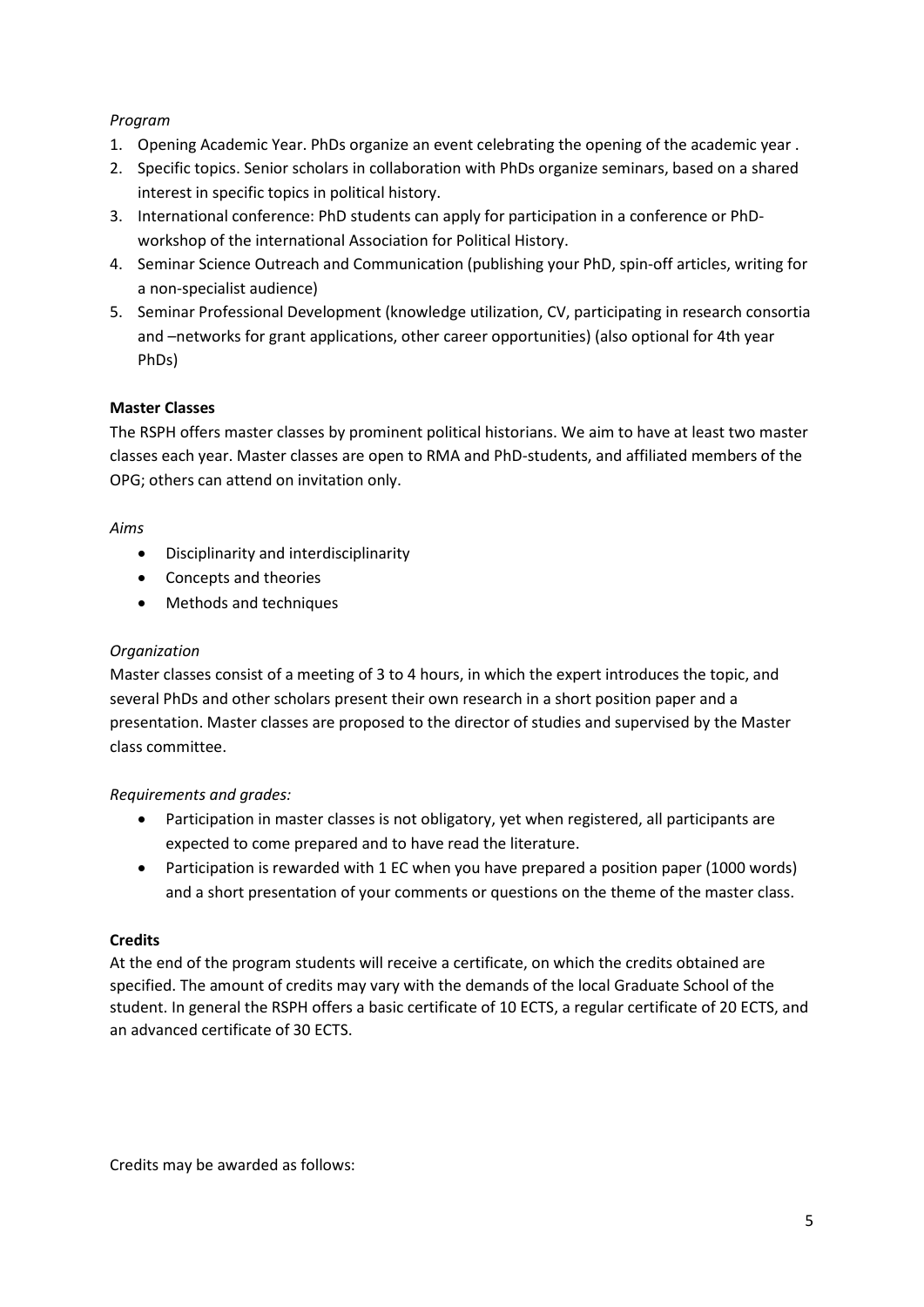## *Program*

- 1. Opening Academic Year. PhDs organize an event celebrating the opening of the academic year .
- 2. Specific topics. Senior scholars in collaboration with PhDs organize seminars, based on a shared interest in specific topics in political history.
- 3. International conference: PhD students can apply for participation in a conference or PhDworkshop of the international Association for Political History.
- 4. Seminar Science Outreach and Communication (publishing your PhD, spin-off articles, writing for a non-specialist audience)
- 5. Seminar Professional Development (knowledge utilization, CV, participating in research consortia and –networks for grant applications, other career opportunities) (also optional for 4th year PhDs)

#### **Master Classes**

The RSPH offers master classes by prominent political historians. We aim to have at least two master classes each year. Master classes are open to RMA and PhD-students, and affiliated members of the OPG; others can attend on invitation only.

#### *Aims*

- Disciplinarity and interdisciplinarity
- Concepts and theories
- Methods and techniques

#### *Organization*

Master classes consist of a meeting of 3 to 4 hours, in which the expert introduces the topic, and several PhDs and other scholars present their own research in a short position paper and a presentation. Master classes are proposed to the director of studies and supervised by the Master class committee.

#### *Requirements and grades:*

- Participation in master classes is not obligatory, yet when registered, all participants are expected to come prepared and to have read the literature.
- Participation is rewarded with 1 EC when you have prepared a position paper (1000 words) and a short presentation of your comments or questions on the theme of the master class.

#### **Credits**

At the end of the program students will receive a certificate, on which the credits obtained are specified. The amount of credits may vary with the demands of the local Graduate School of the student. In general the RSPH offers a basic certificate of 10 ECTS, a regular certificate of 20 ECTS, and an advanced certificate of 30 ECTS.

Credits may be awarded as follows: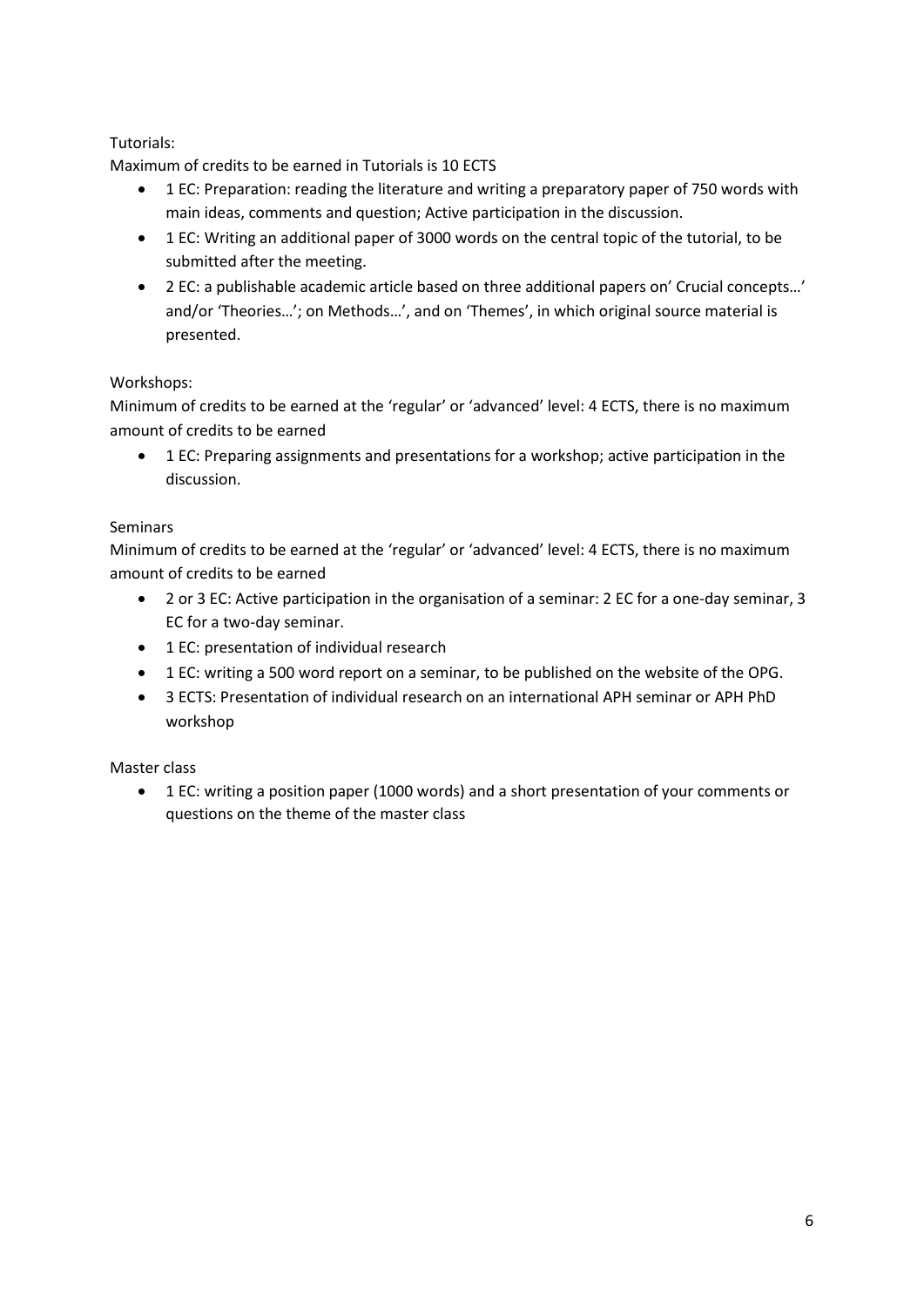# Tutorials:

Maximum of credits to be earned in Tutorials is 10 ECTS

- 1 EC: Preparation: reading the literature and writing a preparatory paper of 750 words with main ideas, comments and question; Active participation in the discussion.
- 1 EC: Writing an additional paper of 3000 words on the central topic of the tutorial, to be submitted after the meeting.
- 2 EC: a publishable academic article based on three additional papers on' Crucial concepts…' and/or 'Theories…'; on Methods…', and on 'Themes', in which original source material is presented.

# Workshops:

Minimum of credits to be earned at the 'regular' or 'advanced' level: 4 ECTS, there is no maximum amount of credits to be earned

• 1 EC: Preparing assignments and presentations for a workshop; active participation in the discussion.

## **Seminars**

Minimum of credits to be earned at the 'regular' or 'advanced' level: 4 ECTS, there is no maximum amount of credits to be earned

- 2 or 3 EC: Active participation in the organisation of a seminar: 2 EC for a one-day seminar, 3 EC for a two-day seminar.
- 1 EC: presentation of individual research
- 1 EC: writing a 500 word report on a seminar, to be published on the website of the OPG.
- 3 ECTS: Presentation of individual research on an international APH seminar or APH PhD workshop

## Master class

• 1 EC: writing a position paper (1000 words) and a short presentation of your comments or questions on the theme of the master class